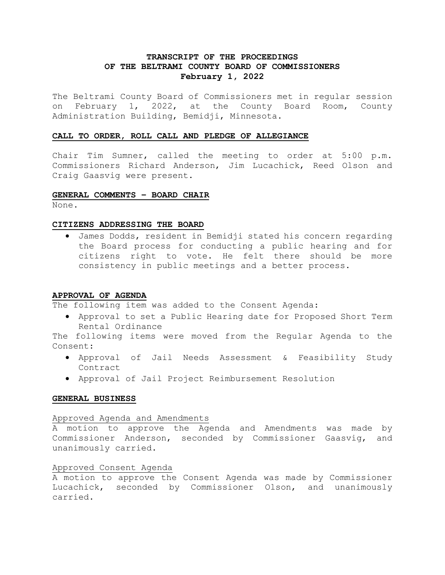# **TRANSCRIPT OF THE PROCEEDINGS OF THE BELTRAMI COUNTY BOARD OF COMMISSIONERS February 1, 2022**

The Beltrami County Board of Commissioners met in regular session on February 1, 2022, at the County Board Room, County Administration Building, Bemidji, Minnesota.

# **CALL TO ORDER, ROLL CALL AND PLEDGE OF ALLEGIANCE**

Chair Tim Sumner, called the meeting to order at 5:00 p.m. Commissioners Richard Anderson, Jim Lucachick, Reed Olson and Craig Gaasvig were present.

# **GENERAL COMMENTS – BOARD CHAIR**

None.

### **CITIZENS ADDRESSING THE BOARD**

• James Dodds, resident in Bemidji stated his concern regarding the Board process for conducting a public hearing and for citizens right to vote. He felt there should be more consistency in public meetings and a better process.

# **APPROVAL OF AGENDA**

The following item was added to the Consent Agenda:

• Approval to set a Public Hearing date for Proposed Short Term Rental Ordinance

The following items were moved from the Regular Agenda to the Consent:

- Approval of Jail Needs Assessment & Feasibility Study Contract
- Approval of Jail Project Reimbursement Resolution

#### **GENERAL BUSINESS**

#### Approved Agenda and Amendments

A motion to approve the Agenda and Amendments was made by Commissioner Anderson, seconded by Commissioner Gaasvig, and unanimously carried.

# Approved Consent Agenda

A motion to approve the Consent Agenda was made by Commissioner Lucachick, seconded by Commissioner Olson, and unanimously carried.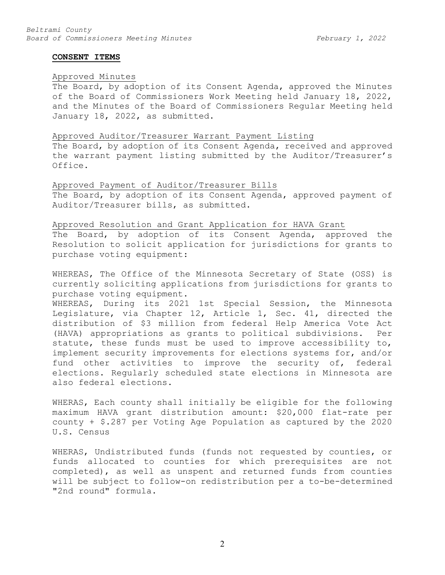#### **CONSENT ITEMS**

## Approved Minutes

The Board, by adoption of its Consent Agenda, approved the Minutes of the Board of Commissioners Work Meeting held January 18, 2022, and the Minutes of the Board of Commissioners Regular Meeting held January 18, 2022, as submitted.

#### Approved Auditor/Treasurer Warrant Payment Listing

The Board, by adoption of its Consent Agenda, received and approved the warrant payment listing submitted by the Auditor/Treasurer's Office.

### Approved Payment of Auditor/Treasurer Bills

The Board, by adoption of its Consent Agenda, approved payment of Auditor/Treasurer bills, as submitted.

### Approved Resolution and Grant Application for HAVA Grant

The Board, by adoption of its Consent Agenda, approved the Resolution to solicit application for jurisdictions for grants to purchase voting equipment:

WHEREAS, The Office of the Minnesota Secretary of State (OSS) is currently soliciting applications from jurisdictions for grants to purchase voting equipment.

WHEREAS, During its 2021 1st Special Session, the Minnesota Legislature, via Chapter 12, Article 1, Sec. 41, directed the distribution of \$3 million from federal Help America Vote Act (HAVA) appropriations as grants to political subdivisions. Per statute, these funds must be used to improve accessibility to, implement security improvements for elections systems for, and/or fund other activities to improve the security of, federal elections. Regularly scheduled state elections in Minnesota are also federal elections.

WHERAS, Each county shall initially be eligible for the following maximum HAVA grant distribution amount: \$20,000 flat-rate per county + \$.287 per Voting Age Population as captured by the 2020 U.S. Census

WHERAS, Undistributed funds (funds not requested by counties, or funds allocated to counties for which prerequisites are not completed), as well as unspent and returned funds from counties will be subject to follow-on redistribution per a to-be-determined "2nd round" formula.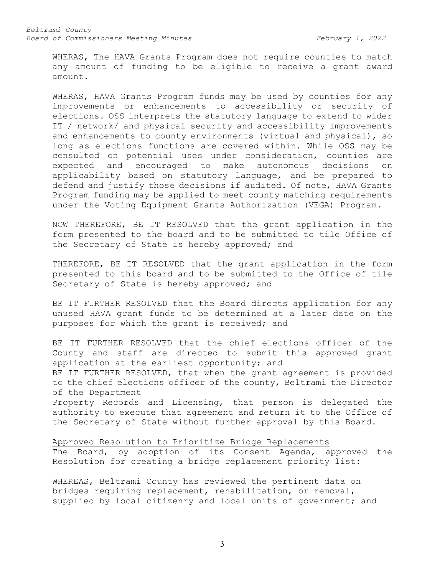WHERAS, The HAVA Grants Program does not require counties to match any amount of funding to be eligible to receive a grant award amount.

WHERAS, HAVA Grants Program funds may be used by counties for any improvements or enhancements to accessibility or security of elections. OSS interprets the statutory language to extend to wider IT / network/ and physical security and accessibility improvements and enhancements to county environments (virtual and physical), so long as elections functions are covered within. While OSS may be consulted on potential uses under consideration, counties are expected and encouraged to make autonomous decisions on applicability based on statutory language, and be prepared to defend and justify those decisions if audited. Of note, HAVA Grants Program funding may be applied to meet county matching requirements under the Voting Equipment Grants Authorization (VEGA) Program.

NOW THEREFORE, BE IT RESOLVED that the grant application in the form presented to the board and to be submitted to tile Office of the Secretary of State is hereby approved; and

THEREFORE, BE IT RESOLVED that the grant application in the form presented to this board and to be submitted to the Office of tile Secretary of State is hereby approved; and

BE IT FURTHER RESOLVED that the Board directs application for any unused HAVA grant funds to be determined at a later date on the purposes for which the grant is received; and

BE IT FURTHER RESOLVED that the chief elections officer of the County and staff are directed to submit this approved grant application at the earliest opportunity; and BE IT FURTHER RESOLVED, that when the grant agreement is provided to the chief elections officer of the county, Beltrami the Director of the Department Property Records and Licensing, that person is delegated the authority to execute that agreement and return it to the Office of the Secretary of State without further approval by this Board.

Approved Resolution to Prioritize Bridge Replacements The Board, by adoption of its Consent Agenda, approved the Resolution for creating a bridge replacement priority list:

WHEREAS, Beltrami County has reviewed the pertinent data on bridges requiring replacement, rehabilitation, or removal, supplied by local citizenry and local units of government; and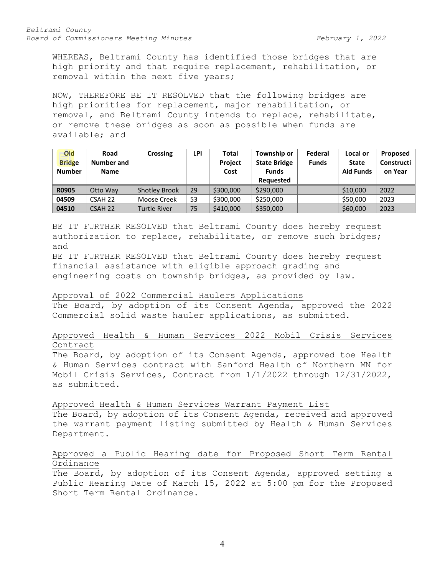WHEREAS, Beltrami County has identified those bridges that are high priority and that require replacement, rehabilitation, or removal within the next five years;

NOW, THEREFORE BE IT RESOLVED that the following bridges are high priorities for replacement, major rehabilitation, or removal, and Beltrami County intends to replace, rehabilitate, or remove these bridges as soon as possible when funds are available; and

| Old<br><b>Bridge</b><br><b>Number</b> | Road<br><b>Number and</b><br><b>Name</b> | <b>Crossing</b>      | LPI | <b>Total</b><br><b>Project</b><br>Cost | Township or<br><b>State Bridge</b><br><b>Funds</b><br>Requested | Federal<br><b>Funds</b> | Local or<br><b>State</b><br><b>Aid Funds</b> | Proposed<br>Constructi<br>on Year |
|---------------------------------------|------------------------------------------|----------------------|-----|----------------------------------------|-----------------------------------------------------------------|-------------------------|----------------------------------------------|-----------------------------------|
| <b>R0905</b>                          | Otto Way                                 | <b>Shotley Brook</b> | 29  | \$300,000                              | \$290,000                                                       |                         | \$10,000                                     | 2022                              |
| 04509                                 | CSAH 22                                  | Moose Creek          | 53  | \$300,000                              | \$250,000                                                       |                         | \$50,000                                     | 2023                              |
| 04510                                 | CSAH 22                                  | <b>Turtle River</b>  | 75  | \$410,000                              | \$350,000                                                       |                         | \$60,000                                     | 2023                              |

BE IT FURTHER RESOLVED that Beltrami County does hereby request authorization to replace, rehabilitate, or remove such bridges; and

BE IT FURTHER RESOLVED that Beltrami County does hereby request financial assistance with eligible approach grading and engineering costs on township bridges, as provided by law.

### Approval of 2022 Commercial Haulers Applications

The Board, by adoption of its Consent Agenda, approved the 2022 Commercial solid waste hauler applications, as submitted.

# Approved Health & Human Services 2022 Mobil Crisis Services Contract

The Board, by adoption of its Consent Agenda, approved toe Health & Human Services contract with Sanford Health of Northern MN for Mobil Crisis Services, Contract from 1/1/2022 through 12/31/2022, as submitted.

Approved Health & Human Services Warrant Payment List

The Board, by adoption of its Consent Agenda, received and approved the warrant payment listing submitted by Health & Human Services Department.

# Approved a Public Hearing date for Proposed Short Term Rental Ordinance

The Board, by adoption of its Consent Agenda, approved setting a Public Hearing Date of March 15, 2022 at 5:00 pm for the Proposed Short Term Rental Ordinance.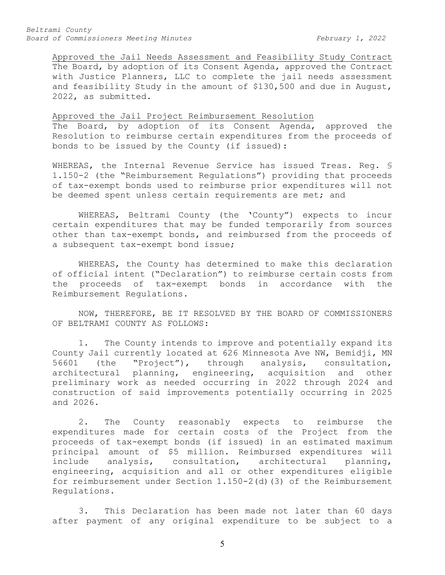Approved the Jail Needs Assessment and Feasibility Study Contract The Board, by adoption of its Consent Agenda, approved the Contract with Justice Planners, LLC to complete the jail needs assessment and feasibility Study in the amount of \$130,500 and due in August, 2022, as submitted.

#### Approved the Jail Project Reimbursement Resolution

The Board, by adoption of its Consent Agenda, approved the Resolution to reimburse certain expenditures from the proceeds of bonds to be issued by the County (if issued):

WHEREAS, the Internal Revenue Service has issued Treas. Reg. § 1.150-2 (the "Reimbursement Regulations") providing that proceeds of tax-exempt bonds used to reimburse prior expenditures will not be deemed spent unless certain requirements are met; and

WHEREAS, Beltrami County (the 'County") expects to incur certain expenditures that may be funded temporarily from sources other than tax-exempt bonds, and reimbursed from the proceeds of a subsequent tax-exempt bond issue;

WHEREAS, the County has determined to make this declaration of official intent ("Declaration") to reimburse certain costs from<br>the proceeds of tax-exempt bonds in accordance with the the proceeds of tax-exempt bonds in accordance Reimbursement Regulations.

NOW, THEREFORE, BE IT RESOLVED BY THE BOARD OF COMMISSIONERS OF BELTRAMI COUNTY AS FOLLOWS:

1. The County intends to improve and potentially expand its County Jail currently located at 626 Minnesota Ave NW, Bemidji, MN<br>56601 (the "Project"), through analysis, consultation, "Project"), through analysis, consultation,<br>planning, engineering, acquisition and other architectural planning, engineering, acquisition preliminary work as needed occurring in 2022 through 2024 and construction of said improvements potentially occurring in 2025 and 2026.

2. The County reasonably expects to reimburse the expenditures made for certain costs of the Project from the proceeds of tax-exempt bonds (if issued) in an estimated maximum principal amount of \$5 million. Reimbursed expenditures will include analysis, consultation, architectural planning, engineering, acquisition and all or other expenditures eligible for reimbursement under Section 1.150-2(d)(3) of the Reimbursement Regulations.

3. This Declaration has been made not later than 60 days after payment of any original expenditure to be subject to a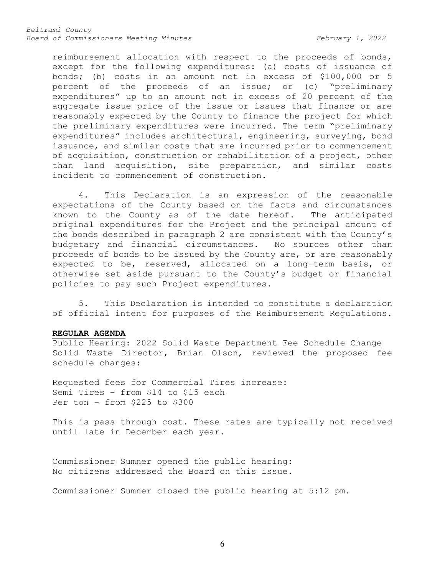reimbursement allocation with respect to the proceeds of bonds, except for the following expenditures: (a) costs of issuance of bonds; (b) costs in an amount not in excess of \$100,000 or 5 percent of the proceeds of an issue; or (c) "preliminary expenditures" up to an amount not in excess of 20 percent of the aggregate issue price of the issue or issues that finance or are reasonably expected by the County to finance the project for which the preliminary expenditures were incurred. The term "preliminary expenditures" includes architectural, engineering, surveying, bond issuance, and similar costs that are incurred prior to commencement of acquisition, construction or rehabilitation of a project, other than land acquisition, site preparation, and similar costs incident to commencement of construction.

4. This Declaration is an expression of the reasonable expectations of the County based on the facts and circumstances known to the County as of the date hereof. The anticipated original expenditures for the Project and the principal amount of the bonds described in paragraph 2 are consistent with the County's budgetary and financial circumstances. No sources other than proceeds of bonds to be issued by the County are, or are reasonably expected to be, reserved, allocated on a long-term basis, or otherwise set aside pursuant to the County's budget or financial policies to pay such Project expenditures.

5. This Declaration is intended to constitute a declaration of official intent for purposes of the Reimbursement Regulations.

#### **REGULAR AGENDA**

Public Hearing: 2022 Solid Waste Department Fee Schedule Change Solid Waste Director, Brian Olson, reviewed the proposed fee schedule changes:

Requested fees for Commercial Tires increase: Semi Tires – from \$14 to \$15 each Per ton – from \$225 to \$300

This is pass through cost. These rates are typically not received until late in December each year.

Commissioner Sumner opened the public hearing: No citizens addressed the Board on this issue.

Commissioner Sumner closed the public hearing at 5:12 pm.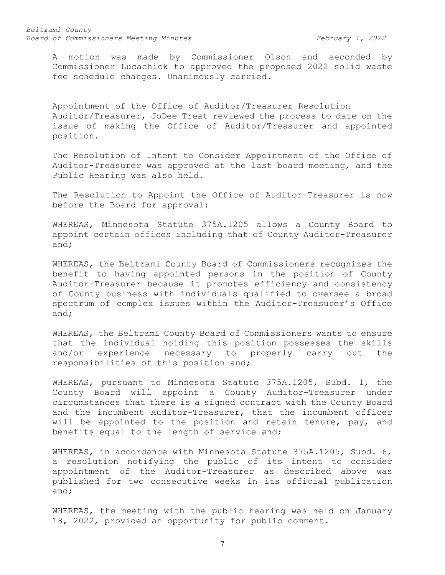A motion was made by Commissioner Olson and seconded by Commissioner Lucachick to approved the proposed 2022 solid waste fee schedule changes. Unanimously carried.

Appointment of the Office of Auditor/Treasurer Resolution Auditor/Treasurer, JoDee Treat reviewed the process to date on the issue of making the Office of Auditor/Treasurer and appointed position.

The Resolution of Intent to Consider Appointment of the Office of Auditor-Treasurer was approved at the last board meeting, and the Public Hearing was also held.

The Resolution to Appoint the Office of Auditor-Treasurer is now before the Board for approval:

WHEREAS, Minnesota Statute 375A.1205 allows a County Board to appoint certain offices including that of County Auditor-Treasurer and;

WHEREAS, the Beltrami County Board of Commissioners recognizes the benefit to having appointed persons in the position of County Auditor-Treasurer because it promotes efficiency and consistency of County business with individuals qualified to oversee a broad spectrum of complex issues within the Auditor-Treasurer's Office and;

WHEREAS, the Beltrami County Board of Commissioners wants to ensure that the individual holding this position possesses the skills and/or experience necessary to properly carry out the responsibilities of this position and;

WHEREAS, pursuant to Minnesota Statute 375A.1205, Subd. 1, the County Board will appoint a County Auditor-Treasurer under circumstances that there is a signed contract with the County Board and the incumbent Auditor-Treasurer, that the incumbent officer will be appointed to the position and retain tenure, pay, and benefits equal to the length of service and;

WHEREAS, in accordance with Minnesota Statute 375A.1205, Subd. 6, a resolution notifying the public of its intent to consider appointment of the Auditor-Treasurer as described above was published for two consecutive weeks in its official publication and;

WHEREAS, the meeting with the public hearing was held on January 18, 2022, provided an opportunity for public comment.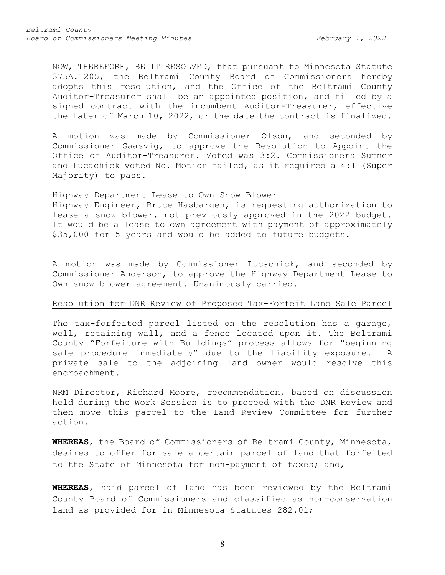NOW, THEREFORE, BE IT RESOLVED, that pursuant to Minnesota Statute 375A.1205, the Beltrami County Board of Commissioners hereby adopts this resolution, and the Office of the Beltrami County Auditor-Treasurer shall be an appointed position, and filled by a signed contract with the incumbent Auditor-Treasurer, effective the later of March 10, 2022, or the date the contract is finalized.

A motion was made by Commissioner Olson, and seconded by Commissioner Gaasvig, to approve the Resolution to Appoint the Office of Auditor-Treasurer. Voted was 3:2. Commissioners Sumner and Lucachick voted No. Motion failed, as it required a 4:1 (Super Majority) to pass.

### Highway Department Lease to Own Snow Blower

Highway Engineer, Bruce Hasbargen, is requesting authorization to lease a snow blower, not previously approved in the 2022 budget. It would be a lease to own agreement with payment of approximately \$35,000 for 5 years and would be added to future budgets.

A motion was made by Commissioner Lucachick, and seconded by Commissioner Anderson, to approve the Highway Department Lease to Own snow blower agreement. Unanimously carried.

### Resolution for DNR Review of Proposed Tax-Forfeit Land Sale Parcel

The tax-forfeited parcel listed on the resolution has a garage, well, retaining wall, and a fence located upon it. The Beltrami County "Forfeiture with Buildings" process allows for "beginning sale procedure immediately" due to the liability exposure. A private sale to the adjoining land owner would resolve this encroachment.

NRM Director, Richard Moore, recommendation, based on discussion held during the Work Session is to proceed with the DNR Review and then move this parcel to the Land Review Committee for further action.

**WHEREAS**, the Board of Commissioners of Beltrami County, Minnesota, desires to offer for sale a certain parcel of land that forfeited to the State of Minnesota for non-payment of taxes; and,

**WHEREAS**, said parcel of land has been reviewed by the Beltrami County Board of Commissioners and classified as non-conservation land as provided for in Minnesota Statutes 282.01;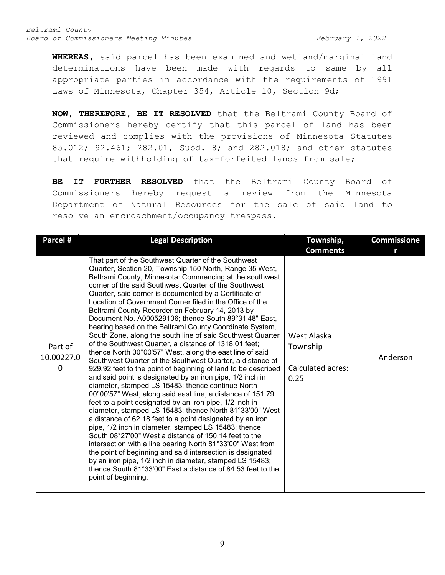**WHEREAS,** said parcel has been examined and wetland/marginal land determinations have been made with regards to same by all appropriate parties in accordance with the requirements of 1991 Laws of Minnesota, Chapter 354, Article 10, Section 9d;

**NOW, THEREFORE, BE IT RESOLVED** that the Beltrami County Board of Commissioners hereby certify that this parcel of land has been reviewed and complies with the provisions of Minnesota Statutes 85.012; 92.461; 282.01, Subd. 8; and 282.018; and other statutes that require withholding of tax-forfeited lands from sale;

**BE IT FURTHER RESOLVED** that the Beltrami County Board of Commissioners hereby request a review from the Minnesota Department of Natural Resources for the sale of said land to resolve an encroachment/occupancy trespass.

| Parcel #                   | <b>Legal Description</b>                                                                                                                                                                                                                                                                                                                                                                                                                                                                                                                                                                                                                                                                                                                                                                                                                                                                                                                                                                                                                                                                                                                                                                                                                                                                                                                                                                                                                                                                                                                                                                                            | Township,                                            | <b>Commissione</b> |
|----------------------------|---------------------------------------------------------------------------------------------------------------------------------------------------------------------------------------------------------------------------------------------------------------------------------------------------------------------------------------------------------------------------------------------------------------------------------------------------------------------------------------------------------------------------------------------------------------------------------------------------------------------------------------------------------------------------------------------------------------------------------------------------------------------------------------------------------------------------------------------------------------------------------------------------------------------------------------------------------------------------------------------------------------------------------------------------------------------------------------------------------------------------------------------------------------------------------------------------------------------------------------------------------------------------------------------------------------------------------------------------------------------------------------------------------------------------------------------------------------------------------------------------------------------------------------------------------------------------------------------------------------------|------------------------------------------------------|--------------------|
|                            |                                                                                                                                                                                                                                                                                                                                                                                                                                                                                                                                                                                                                                                                                                                                                                                                                                                                                                                                                                                                                                                                                                                                                                                                                                                                                                                                                                                                                                                                                                                                                                                                                     | <b>Comments</b>                                      |                    |
| Part of<br>10.00227.0<br>0 | That part of the Southwest Quarter of the Southwest<br>Quarter, Section 20, Township 150 North, Range 35 West,<br>Beltrami County, Minnesota: Commencing at the southwest<br>corner of the said Southwest Quarter of the Southwest<br>Quarter, said corner is documented by a Certificate of<br>Location of Government Corner filed in the Office of the<br>Beltrami County Recorder on February 14, 2013 by<br>Document No. A000529106; thence South 89°31'48" East,<br>bearing based on the Beltrami County Coordinate System,<br>South Zone, along the south line of said Southwest Quarter<br>of the Southwest Quarter, a distance of 1318.01 feet;<br>thence North 00°00'57" West, along the east line of said<br>Southwest Quarter of the Southwest Quarter, a distance of<br>929.92 feet to the point of beginning of land to be described<br>and said point is designated by an iron pipe, 1/2 inch in<br>diameter, stamped LS 15483; thence continue North<br>00°00'57" West, along said east line, a distance of 151.79<br>feet to a point designated by an iron pipe, 1/2 inch in<br>diameter, stamped LS 15483; thence North 81°33'00" West<br>a distance of 62.18 feet to a point designated by an iron<br>pipe, 1/2 inch in diameter, stamped LS 15483; thence<br>South 08°27'00" West a distance of 150.14 feet to the<br>intersection with a line bearing North 81°33'00" West from<br>the point of beginning and said intersection is designated<br>by an iron pipe, 1/2 inch in diameter, stamped LS 15483;<br>thence South 81°33'00" East a distance of 84.53 feet to the<br>point of beginning. | West Alaska<br>Township<br>Calculated acres:<br>0.25 | Anderson           |